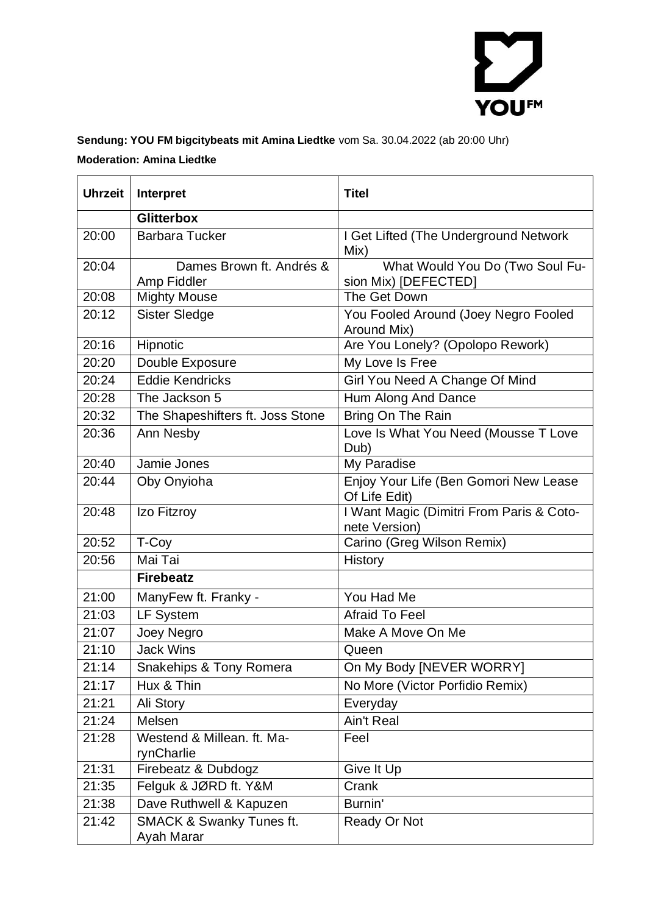

## **Sendung: YOU FM bigcitybeats mit Amina Liedtke** vom Sa. 30.04.2022 (ab 20:00 Uhr) **Moderation: Amina Liedtke**

| <b>Uhrzeit</b> | Interpret                                         | <b>Titel</b>                                              |
|----------------|---------------------------------------------------|-----------------------------------------------------------|
|                | <b>Glitterbox</b>                                 |                                                           |
| 20:00          | <b>Barbara Tucker</b>                             | I Get Lifted (The Underground Network<br>Mix)             |
| 20:04          | Dames Brown ft. Andrés &<br>Amp Fiddler           | What Would You Do (Two Soul Fu-<br>sion Mix) [DEFECTED]   |
| 20:08          | <b>Mighty Mouse</b>                               | The Get Down                                              |
| 20:12          | <b>Sister Sledge</b>                              | You Fooled Around (Joey Negro Fooled<br>Around Mix)       |
| 20:16          | Hipnotic                                          | Are You Lonely? (Opolopo Rework)                          |
| 20:20          | Double Exposure                                   | My Love Is Free                                           |
| 20:24          | <b>Eddie Kendricks</b>                            | Girl You Need A Change Of Mind                            |
| 20:28          | The Jackson 5                                     | Hum Along And Dance                                       |
| 20:32          | The Shapeshifters ft. Joss Stone                  | Bring On The Rain                                         |
| 20:36          | Ann Nesby                                         | Love Is What You Need (Mousse T Love<br>Dub)              |
| 20:40          | Jamie Jones                                       | My Paradise                                               |
| 20:44          | Oby Onyioha                                       | Enjoy Your Life (Ben Gomori New Lease<br>Of Life Edit)    |
| 20:48          | Izo Fitzroy                                       | I Want Magic (Dimitri From Paris & Coto-<br>nete Version) |
| 20:52          | T-Coy                                             | Carino (Greg Wilson Remix)                                |
| 20:56          | Mai Tai                                           | <b>History</b>                                            |
|                | <b>Firebeatz</b>                                  |                                                           |
| 21:00          | ManyFew ft. Franky -                              | You Had Me                                                |
| 21:03          | <b>LF System</b>                                  | <b>Afraid To Feel</b>                                     |
| 21:07          | Joey Negro                                        | Make A Move On Me                                         |
| 21:10          | <b>Jack Wins</b>                                  | Queen                                                     |
| 21:14          | Snakehips & Tony Romera                           | On My Body [NEVER WORRY]                                  |
| 21:17          | Hux & Thin                                        | No More (Victor Porfidio Remix)                           |
| 21:21          | Ali Story                                         | Everyday                                                  |
| 21:24          | Melsen                                            | Ain't Real                                                |
| 21:28          | Westend & Millean. ft. Ma-<br>rynCharlie          | Feel                                                      |
| 21:31          | Firebeatz & Dubdogz                               | Give It Up                                                |
| 21:35          | Felguk & JØRD ft. Y&M                             | Crank                                                     |
| 21:38          | Dave Ruthwell & Kapuzen                           | Burnin'                                                   |
| 21:42          | <b>SMACK &amp; Swanky Tunes ft.</b><br>Ayah Marar | Ready Or Not                                              |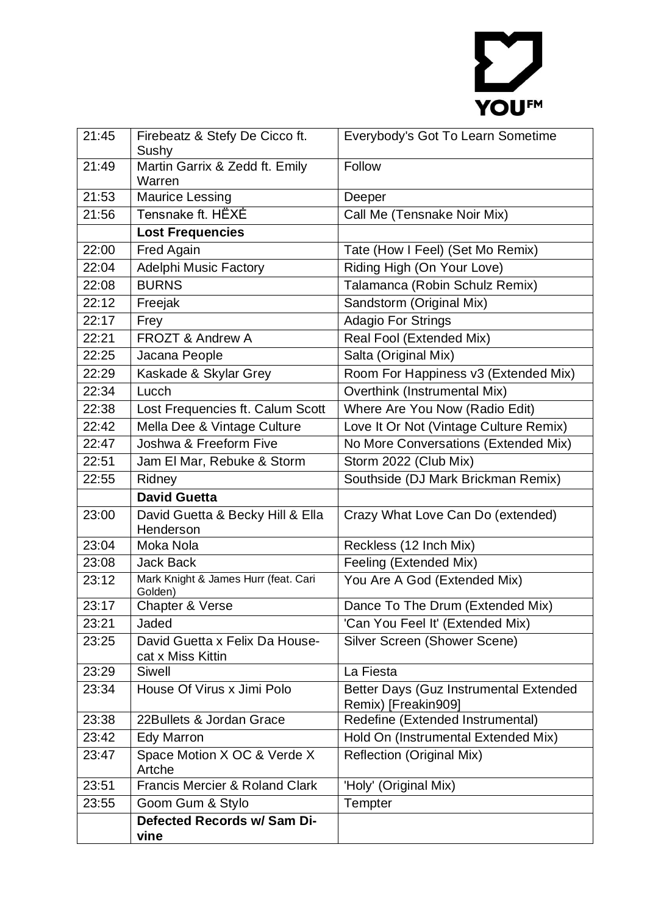## YOUFM

| 21:45 | Firebeatz & Stefy De Cicco ft.                      | Everybody's Got To Learn Sometime                       |
|-------|-----------------------------------------------------|---------------------------------------------------------|
|       | Sushy                                               |                                                         |
| 21:49 | Martin Garrix & Zedd ft. Emily<br>Warren            | Follow                                                  |
| 21:53 | <b>Maurice Lessing</b>                              | Deeper                                                  |
| 21:56 | Tensnake ft. HËXĖ                                   | Call Me (Tensnake Noir Mix)                             |
|       | <b>Lost Frequencies</b>                             |                                                         |
| 22:00 | Fred Again                                          | Tate (How I Feel) (Set Mo Remix)                        |
| 22:04 | Adelphi Music Factory                               | Riding High (On Your Love)                              |
| 22:08 | <b>BURNS</b>                                        | Talamanca (Robin Schulz Remix)                          |
| 22:12 | Freejak                                             | Sandstorm (Original Mix)                                |
| 22:17 | Frey                                                | <b>Adagio For Strings</b>                               |
| 22:21 | <b>FROZT &amp; Andrew A</b>                         | Real Fool (Extended Mix)                                |
| 22:25 | Jacana People                                       | Salta (Original Mix)                                    |
| 22:29 | Kaskade & Skylar Grey                               | Room For Happiness v3 (Extended Mix)                    |
| 22:34 | Lucch                                               | Overthink (Instrumental Mix)                            |
| 22:38 | Lost Frequencies ft. Calum Scott                    | Where Are You Now (Radio Edit)                          |
| 22:42 | Mella Dee & Vintage Culture                         | Love It Or Not (Vintage Culture Remix)                  |
| 22:47 | Joshwa & Freeform Five                              | No More Conversations (Extended Mix)                    |
| 22:51 | Jam El Mar, Rebuke & Storm                          | Storm 2022 (Club Mix)                                   |
| 22:55 | Ridney                                              | Southside (DJ Mark Brickman Remix)                      |
|       |                                                     |                                                         |
|       | <b>David Guetta</b>                                 |                                                         |
| 23:00 | David Guetta & Becky Hill & Ella<br>Henderson       | Crazy What Love Can Do (extended)                       |
| 23:04 | Moka Nola                                           | Reckless (12 Inch Mix)                                  |
| 23:08 | <b>Jack Back</b>                                    | Feeling (Extended Mix)                                  |
| 23:12 | Mark Knight & James Hurr (feat. Cari<br>Golden)     | You Are A God (Extended Mix)                            |
| 23:17 | Chapter & Verse                                     | Dance To The Drum (Extended Mix)                        |
| 23:21 | Jaded                                               | 'Can You Feel It' (Extended Mix)                        |
| 23:25 | David Guetta x Felix Da House-<br>cat x Miss Kittin | Silver Screen (Shower Scene)                            |
| 23:29 | <b>Siwell</b>                                       | La Fiesta                                               |
| 23:34 | House Of Virus x Jimi Polo                          | Better Days (Guz Instrumental Extended                  |
| 23:38 | 22Bullets & Jordan Grace                            | Remix) [Freakin909]<br>Redefine (Extended Instrumental) |
| 23:42 | Edy Marron                                          | Hold On (Instrumental Extended Mix)                     |
| 23:47 | Space Motion X OC & Verde X<br>Artche               | Reflection (Original Mix)                               |
| 23:51 | <b>Francis Mercier &amp; Roland Clark</b>           | 'Holy' (Original Mix)                                   |
| 23:55 | Goom Gum & Stylo                                    | Tempter                                                 |
|       | <b>Defected Records w/ Sam Di-</b><br>vine          |                                                         |